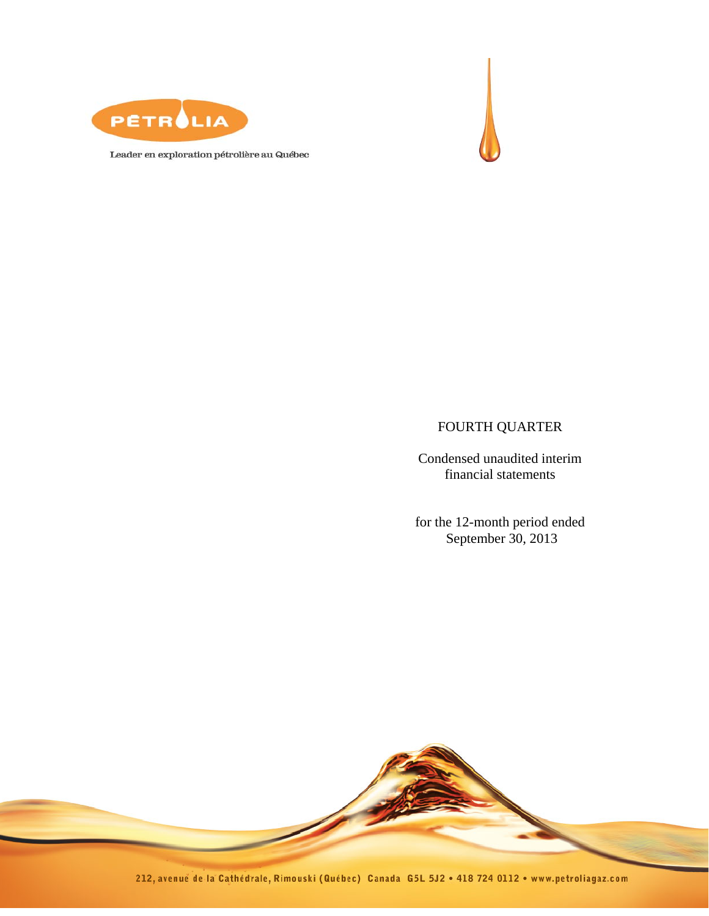



Leader en exploration pétrolière au Québec

## FOURTH QUARTER

Condensed unaudited interim financial statements

for the 12-month period ended September 30, 2013

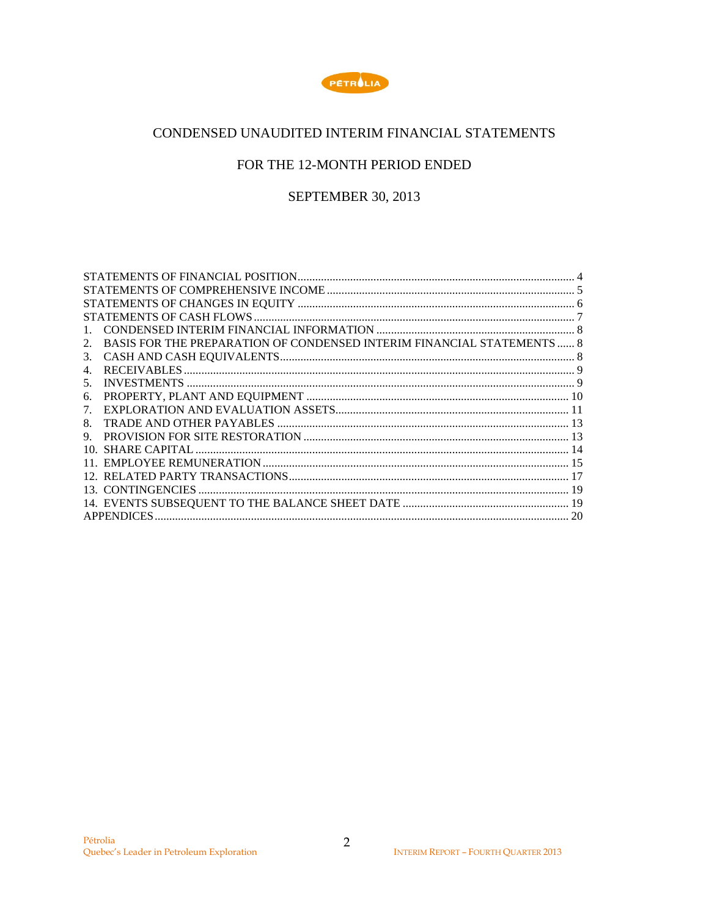

## CONDENSED UNAUDITED INTERIM FINANCIAL STATEMENTS

## FOR THE 12-MONTH PERIOD ENDED

## **SEPTEMBER 30, 2013**

| BASIS FOR THE PREPARATION OF CONDENSED INTERIM FINANCIAL STATEMENTS  8<br>2. |    |
|------------------------------------------------------------------------------|----|
| 3.                                                                           |    |
|                                                                              |    |
| 5.                                                                           |    |
| 6.                                                                           |    |
|                                                                              |    |
| 8                                                                            |    |
| 9.                                                                           |    |
| 10.                                                                          |    |
|                                                                              |    |
|                                                                              |    |
|                                                                              |    |
|                                                                              |    |
| <b>APPENDICES</b>                                                            | 20 |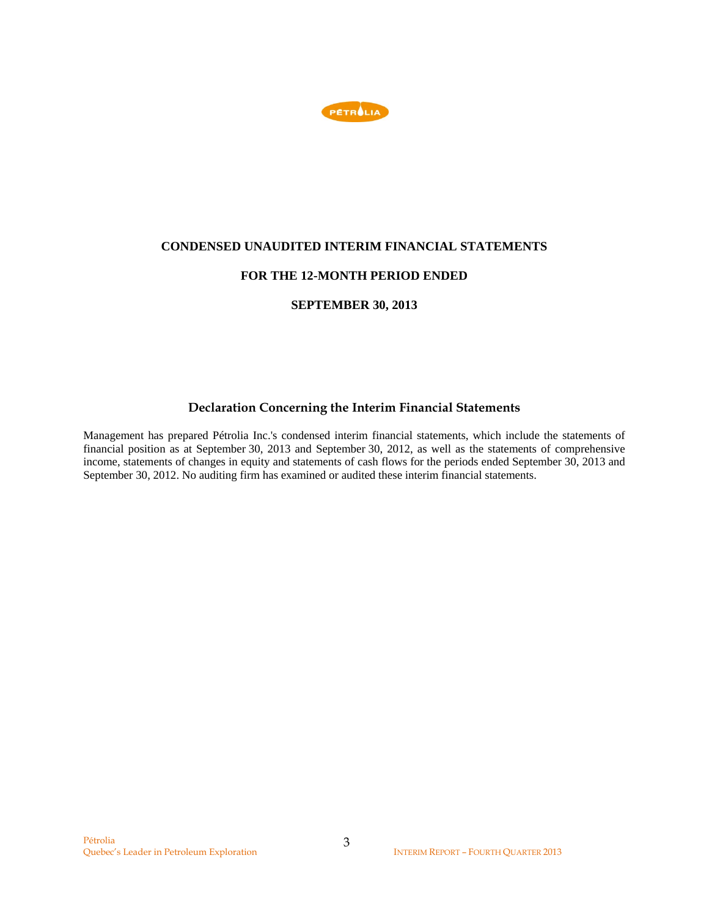

### **CONDENSED UNAUDITED INTERIM FINANCIAL STATEMENTS**

## **FOR THE 12-MONTH PERIOD ENDED**

## **SEPTEMBER 30, 2013**

## **Declaration Concerning the Interim Financial Statements**

Management has prepared Pétrolia Inc.'s condensed interim financial statements, which include the statements of financial position as at September 30, 2013 and September 30, 2012, as well as the statements of comprehensive income, statements of changes in equity and statements of cash flows for the periods ended September 30, 2013 and September 30, 2012. No auditing firm has examined or audited these interim financial statements.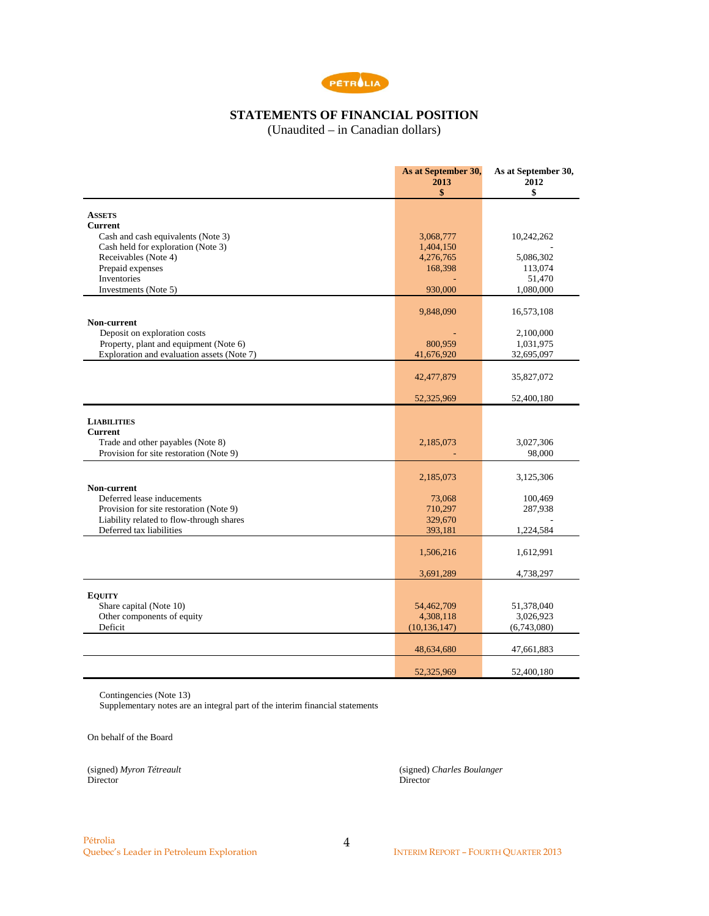

## **STATEMENTS OF FINANCIAL POSITION**

(Unaudited – in Canadian dollars)

|                                                                                                                      | As at September 30,<br>2013<br>\$ | As at September 30,<br>2012<br>\$ |
|----------------------------------------------------------------------------------------------------------------------|-----------------------------------|-----------------------------------|
|                                                                                                                      |                                   |                                   |
| <b>ASSETS</b><br><b>Current</b>                                                                                      |                                   |                                   |
| Cash and cash equivalents (Note 3)                                                                                   | 3,068,777                         | 10,242,262                        |
| Cash held for exploration (Note 3)                                                                                   | 1,404,150                         |                                   |
| Receivables (Note 4)                                                                                                 | 4,276,765                         | 5,086,302                         |
| Prepaid expenses                                                                                                     | 168,398                           | 113,074                           |
| Inventories                                                                                                          |                                   | 51,470                            |
| Investments (Note 5)                                                                                                 | 930,000                           | 1,080,000                         |
|                                                                                                                      | 9,848,090                         | 16,573,108                        |
| Non-current                                                                                                          |                                   |                                   |
| Deposit on exploration costs                                                                                         |                                   | 2,100,000                         |
| Property, plant and equipment (Note 6)<br>Exploration and evaluation assets (Note 7)                                 | 800,959<br>41,676,920             | 1,031,975<br>32,695,097           |
|                                                                                                                      |                                   |                                   |
|                                                                                                                      | 42,477,879                        | 35,827,072                        |
|                                                                                                                      | 52,325,969                        | 52,400,180                        |
| <b>LIABILITIES</b><br><b>Current</b><br>Trade and other payables (Note 8)<br>Provision for site restoration (Note 9) | 2,185,073                         | 3,027,306<br>98,000               |
|                                                                                                                      |                                   |                                   |
| Non-current                                                                                                          | 2,185,073                         | 3,125,306                         |
| Deferred lease inducements                                                                                           | 73,068                            | 100,469                           |
| Provision for site restoration (Note 9)                                                                              | 710,297                           | 287,938                           |
| Liability related to flow-through shares                                                                             | 329,670                           |                                   |
| Deferred tax liabilities                                                                                             | 393,181                           | 1,224,584                         |
|                                                                                                                      | 1,506,216                         | 1,612,991                         |
|                                                                                                                      | 3,691,289                         | 4,738,297                         |
|                                                                                                                      |                                   |                                   |
| <b>EQUITY</b>                                                                                                        |                                   |                                   |
| Share capital (Note 10)<br>Other components of equity                                                                | 54,462,709<br>4,308,118           | 51,378,040<br>3,026,923           |
| Deficit                                                                                                              | (10, 136, 147)                    | (6,743,080)                       |
|                                                                                                                      |                                   |                                   |
|                                                                                                                      | 48,634,680                        | 47,661,883                        |
|                                                                                                                      | 52,325,969                        | 52,400,180                        |

Contingencies (Note 13)

Supplementary notes are an integral part of the interim financial statements

On behalf of the Board

Director Director Director

(signed) *Myron Tétreault* (signed) *Charles Boulanger*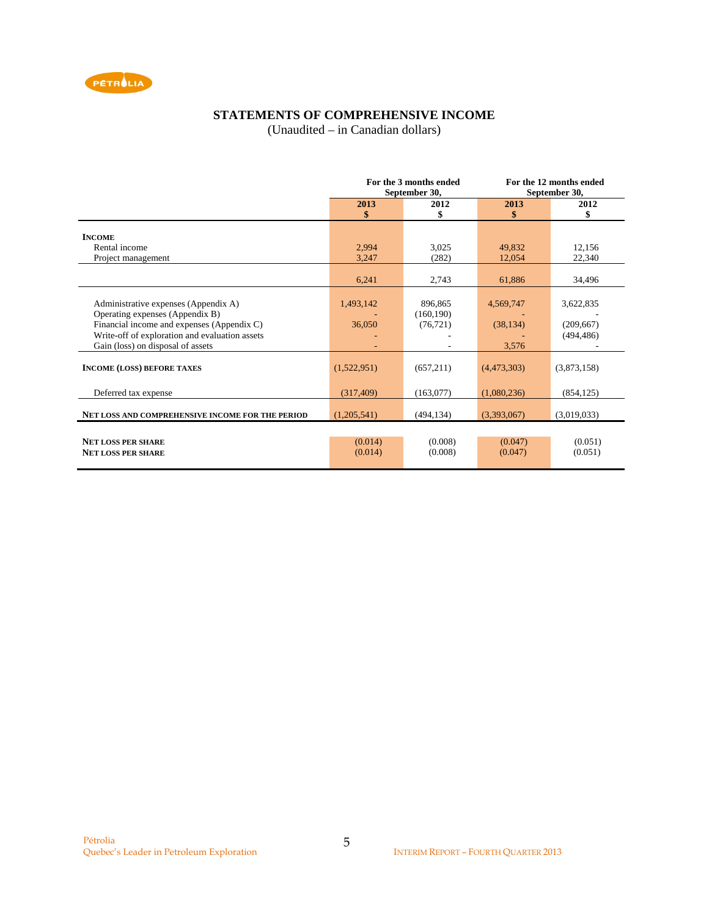

## **STATEMENTS OF COMPREHENSIVE INCOME**

(Unaudited – in Canadian dollars)

|                                                                                                                                                                                                              | For the 3 months ended<br>September 30, |                                    |                                 | For the 12 months ended<br>September 30, |  |
|--------------------------------------------------------------------------------------------------------------------------------------------------------------------------------------------------------------|-----------------------------------------|------------------------------------|---------------------------------|------------------------------------------|--|
|                                                                                                                                                                                                              | 2013<br>\$                              | 2012<br>\$                         | 2013<br>\$                      | 2012<br>\$                               |  |
| <b>INCOME</b>                                                                                                                                                                                                |                                         |                                    |                                 |                                          |  |
| Rental income                                                                                                                                                                                                | 2,994                                   | 3,025                              | 49,832                          | 12,156                                   |  |
| Project management                                                                                                                                                                                           | 3,247                                   | (282)                              | 12,054                          | 22,340                                   |  |
|                                                                                                                                                                                                              | 6,241                                   | 2,743                              | 61,886                          | 34,496                                   |  |
| Administrative expenses (Appendix A)<br>Operating expenses (Appendix B)<br>Financial income and expenses (Appendix C)<br>Write-off of exploration and evaluation assets<br>Gain (loss) on disposal of assets | 1,493,142<br>36,050                     | 896,865<br>(160, 190)<br>(76, 721) | 4,569,747<br>(38, 134)<br>3,576 | 3,622,835<br>(209, 667)<br>(494, 486)    |  |
| <b>INCOME (LOSS) BEFORE TAXES</b>                                                                                                                                                                            | (1,522,951)                             | (657,211)                          | (4,473,303)                     | (3,873,158)                              |  |
| Deferred tax expense                                                                                                                                                                                         | (317, 409)                              | (163,077)                          | (1,080,236)                     | (854, 125)                               |  |
| NET LOSS AND COMPREHENSIVE INCOME FOR THE PERIOD                                                                                                                                                             | (1,205,541)                             | (494, 134)                         | (3,393,067)                     | (3,019,033)                              |  |
| <b>NET LOSS PER SHARE</b><br><b>NET LOSS PER SHARE</b>                                                                                                                                                       | (0.014)<br>(0.014)                      | (0.008)<br>(0.008)                 | (0.047)<br>(0.047)              | (0.051)<br>(0.051)                       |  |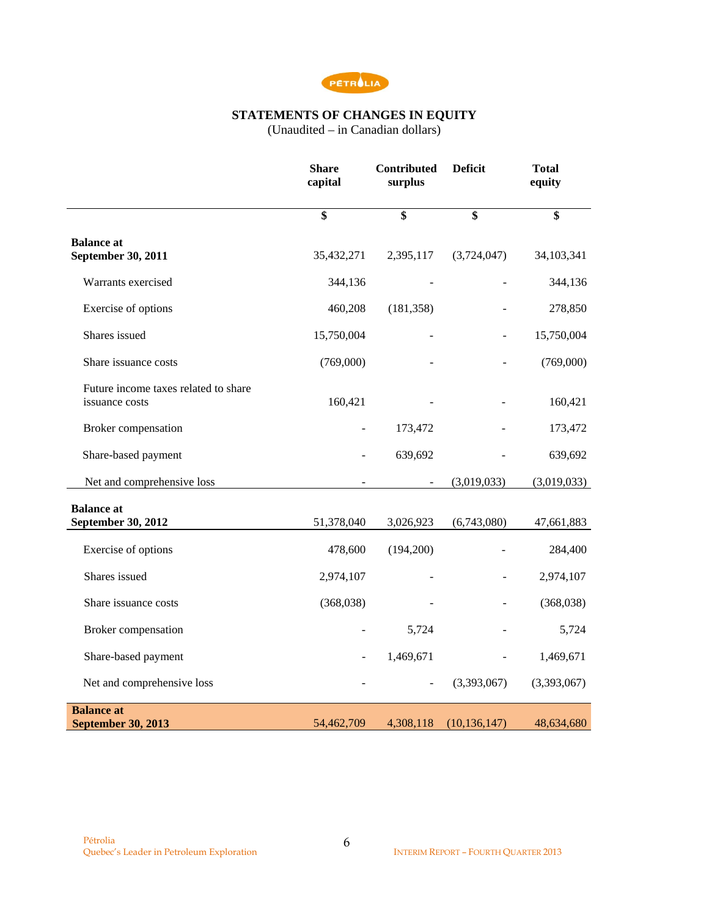

### **STATEMENTS OF CHANGES IN EQUITY**

(Unaudited – in Canadian dollars)

|                                                        | <b>Share</b><br>capital | Contributed<br>surplus | <b>Deficit</b> | <b>Total</b><br>equity |
|--------------------------------------------------------|-------------------------|------------------------|----------------|------------------------|
|                                                        | \$                      | \$                     | \$             | \$                     |
| <b>Balance</b> at<br>September 30, 2011                | 35,432,271              | 2,395,117              | (3,724,047)    | 34,103,341             |
| Warrants exercised                                     | 344,136                 |                        |                | 344,136                |
| Exercise of options                                    | 460,208                 | (181, 358)             |                | 278,850                |
| Shares issued                                          | 15,750,004              |                        |                | 15,750,004             |
| Share issuance costs                                   | (769,000)               |                        |                | (769,000)              |
| Future income taxes related to share<br>issuance costs | 160,421                 |                        |                | 160,421                |
| Broker compensation                                    |                         | 173,472                |                | 173,472                |
| Share-based payment                                    |                         | 639,692                |                | 639,692                |
| Net and comprehensive loss                             |                         |                        | (3,019,033)    | (3,019,033)            |
| <b>Balance at</b><br>September 30, 2012                | 51,378,040              | 3,026,923              | (6,743,080)    | 47,661,883             |
| Exercise of options                                    | 478,600                 | (194,200)              |                | 284,400                |
| Shares issued                                          | 2,974,107               |                        |                | 2,974,107              |
| Share issuance costs                                   | (368,038)               |                        |                | (368,038)              |
| Broker compensation                                    |                         | 5,724                  |                | 5,724                  |
| Share-based payment                                    |                         | 1,469,671              |                | 1,469,671              |
| Net and comprehensive loss                             |                         |                        | (3,393,067)    | (3,393,067)            |
| <b>Balance</b> at<br><b>September 30, 2013</b>         | 54,462,709              | 4,308,118              | (10, 136, 147) | 48,634,680             |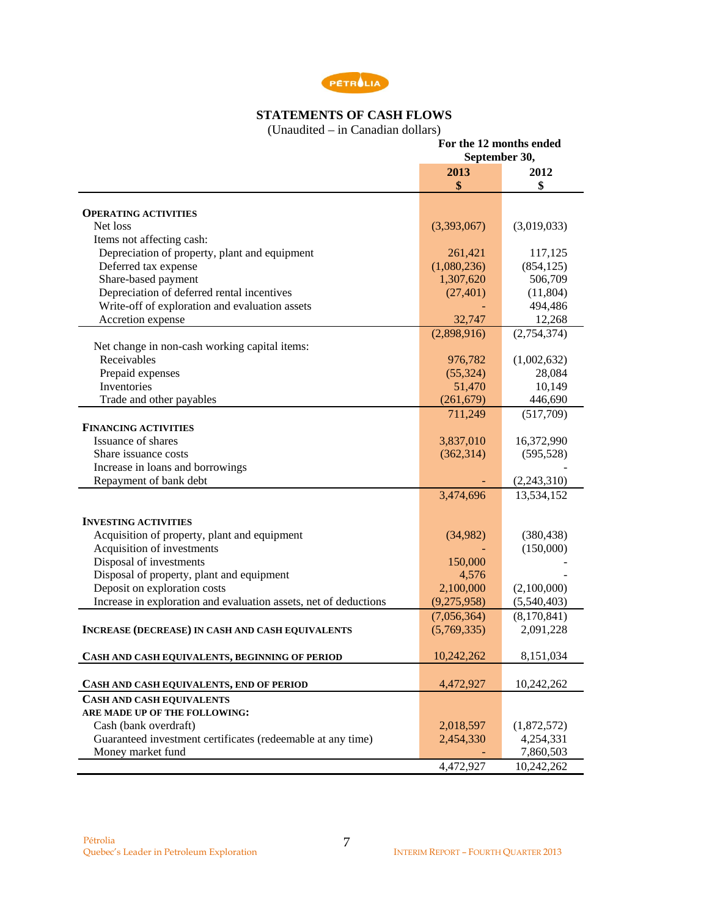

# **STATEMENTS OF CASH FLOWS**

(Unaudited – in Canadian dollars)

|                                                                  | For the 12 months ended |             |
|------------------------------------------------------------------|-------------------------|-------------|
|                                                                  | September 30,           |             |
|                                                                  | 2013<br>\$              | 2012<br>\$  |
|                                                                  |                         |             |
| <b>OPERATING ACTIVITIES</b>                                      |                         |             |
| Net loss                                                         | (3,393,067)             | (3,019,033) |
| Items not affecting cash:                                        |                         |             |
| Depreciation of property, plant and equipment                    | 261,421                 | 117,125     |
| Deferred tax expense                                             | (1,080,236)             | (854, 125)  |
| Share-based payment                                              | 1,307,620               | 506,709     |
| Depreciation of deferred rental incentives                       | (27, 401)               | (11,804)    |
| Write-off of exploration and evaluation assets                   |                         | 494,486     |
| Accretion expense                                                | 32,747                  | 12,268      |
|                                                                  | (2,898,916)             | (2,754,374) |
| Net change in non-cash working capital items:                    |                         |             |
| Receivables                                                      | 976,782                 | (1,002,632) |
| Prepaid expenses                                                 | (55, 324)               | 28,084      |
| Inventories                                                      | 51,470                  | 10,149      |
| Trade and other payables                                         | (261, 679)              | 446,690     |
|                                                                  | 711,249                 | (517,709)   |
| <b>FINANCING ACTIVITIES</b>                                      |                         |             |
| Issuance of shares                                               | 3,837,010               | 16,372,990  |
| Share issuance costs                                             | (362, 314)              | (595, 528)  |
| Increase in loans and borrowings                                 |                         |             |
| Repayment of bank debt                                           |                         | (2,243,310) |
|                                                                  | 3,474,696               | 13,534,152  |
| <b>INVESTING ACTIVITIES</b>                                      |                         |             |
| Acquisition of property, plant and equipment                     | (34,982)                | (380, 438)  |
| Acquisition of investments                                       |                         | (150,000)   |
| Disposal of investments                                          | 150,000                 |             |
| Disposal of property, plant and equipment                        | 4,576                   |             |
| Deposit on exploration costs                                     | 2,100,000               | (2,100,000) |
| Increase in exploration and evaluation assets, net of deductions | (9,275,958)             | (5,540,403) |
|                                                                  |                         |             |
|                                                                  | (7,056,364)             | (8,170,841) |
| <b>INCREASE (DECREASE) IN CASH AND CASH EQUIVALENTS</b>          | (5,769,335)             | 2,091,228   |
| CASH AND CASH EQUIVALENTS, BEGINNING OF PERIOD                   | 10,242,262              | 8,151,034   |
| CASH AND CASH EQUIVALENTS, END OF PERIOD                         | 4,472,927               | 10,242,262  |
| <b>CASH AND CASH EQUIVALENTS</b>                                 |                         |             |
| ARE MADE UP OF THE FOLLOWING:                                    |                         |             |
| Cash (bank overdraft)                                            | 2,018,597               | (1,872,572) |
| Guaranteed investment certificates (redeemable at any time)      | 2,454,330               | 4,254,331   |
| Money market fund                                                |                         | 7,860,503   |
|                                                                  | 4,472,927               | 10,242,262  |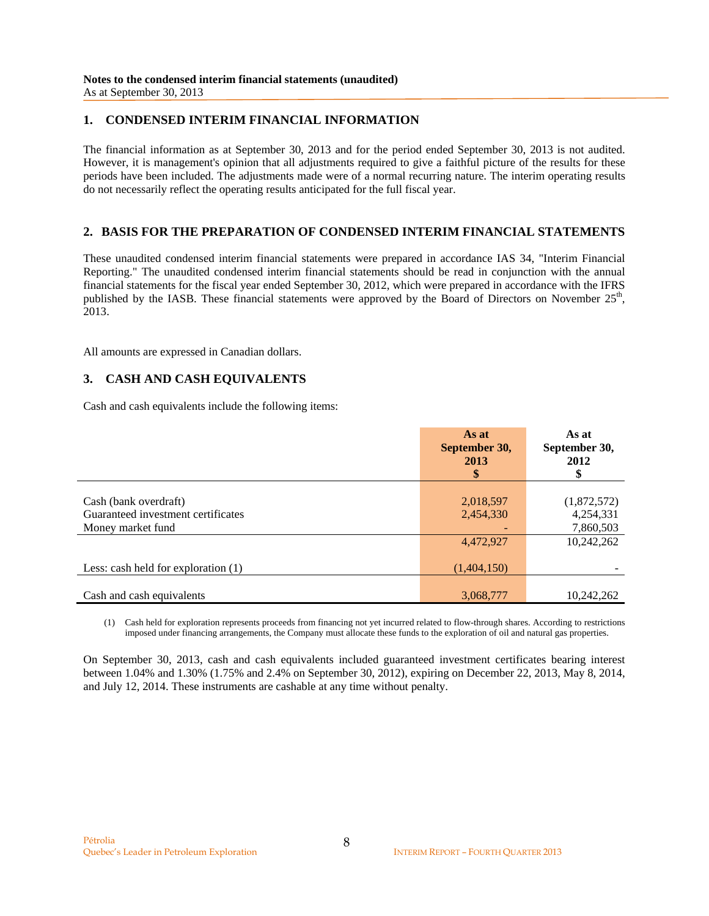### **1. CONDENSED INTERIM FINANCIAL INFORMATION**

The financial information as at September 30, 2013 and for the period ended September 30, 2013 is not audited. However, it is management's opinion that all adjustments required to give a faithful picture of the results for these periods have been included. The adjustments made were of a normal recurring nature. The interim operating results do not necessarily reflect the operating results anticipated for the full fiscal year.

## **2. BASIS FOR THE PREPARATION OF CONDENSED INTERIM FINANCIAL STATEMENTS**

These unaudited condensed interim financial statements were prepared in accordance IAS 34, "Interim Financial Reporting." The unaudited condensed interim financial statements should be read in conjunction with the annual financial statements for the fiscal year ended September 30, 2012, which were prepared in accordance with the IFRS published by the IASB. These financial statements were approved by the Board of Directors on November  $25<sup>th</sup>$ , 2013.

All amounts are expressed in Canadian dollars.

## **3. CASH AND CASH EQUIVALENTS**

Cash and cash equivalents include the following items:

|                                       | As at<br>September 30,<br>2013<br>\$ | As at<br>September 30,<br>2012<br>\$ |
|---------------------------------------|--------------------------------------|--------------------------------------|
|                                       |                                      |                                      |
| Cash (bank overdraft)                 | 2,018,597                            | (1,872,572)                          |
| Guaranteed investment certificates    | 2,454,330                            | 4,254,331                            |
| Money market fund                     | ۰                                    | 7,860,503                            |
|                                       | 4,472,927                            | 10,242,262                           |
| Less: cash held for exploration $(1)$ | (1,404,150)                          |                                      |
| Cash and cash equivalents             | 3,068,777                            | 10,242,262                           |

(1) Cash held for exploration represents proceeds from financing not yet incurred related to flow-through shares. According to restrictions imposed under financing arrangements, the Company must allocate these funds to the exploration of oil and natural gas properties.

On September 30, 2013, cash and cash equivalents included guaranteed investment certificates bearing interest between 1.04% and 1.30% (1.75% and 2.4% on September 30, 2012), expiring on December 22, 2013, May 8, 2014, and July 12, 2014. These instruments are cashable at any time without penalty.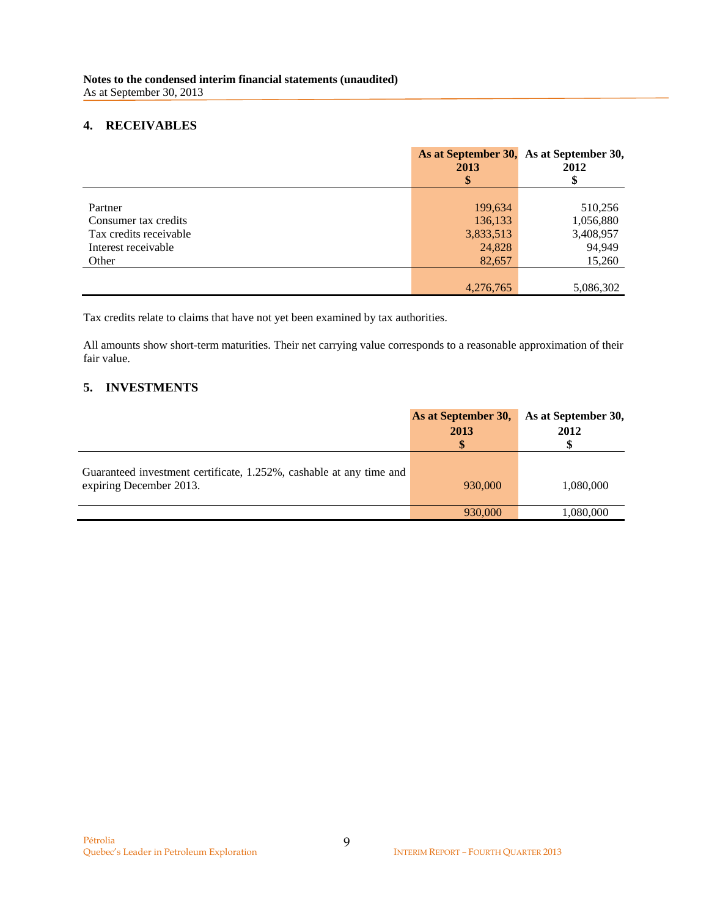## **4. RECEIVABLES**

|                        | 2013      | As at September 30, As at September 30,<br>2012 |
|------------------------|-----------|-------------------------------------------------|
|                        |           |                                                 |
|                        |           |                                                 |
| Partner                | 199,634   | 510,256                                         |
| Consumer tax credits   | 136,133   | 1,056,880                                       |
| Tax credits receivable | 3,833,513 | 3,408,957                                       |
| Interest receivable    | 24,828    | 94,949                                          |
| Other                  | 82,657    | 15,260                                          |
|                        |           |                                                 |
|                        | 4,276,765 | 5,086,302                                       |

Tax credits relate to claims that have not yet been examined by tax authorities.

All amounts show short-term maturities. Their net carrying value corresponds to a reasonable approximation of their fair value.

## **5. INVESTMENTS**

|                                                                                                | As at September 30,<br>2013<br>\$ | As at September 30,<br>2012 |
|------------------------------------------------------------------------------------------------|-----------------------------------|-----------------------------|
| Guaranteed investment certificate, 1.252%, cashable at any time and<br>expiring December 2013. | 930,000                           | 1,080,000                   |
|                                                                                                | 930,000                           | 1,080,000                   |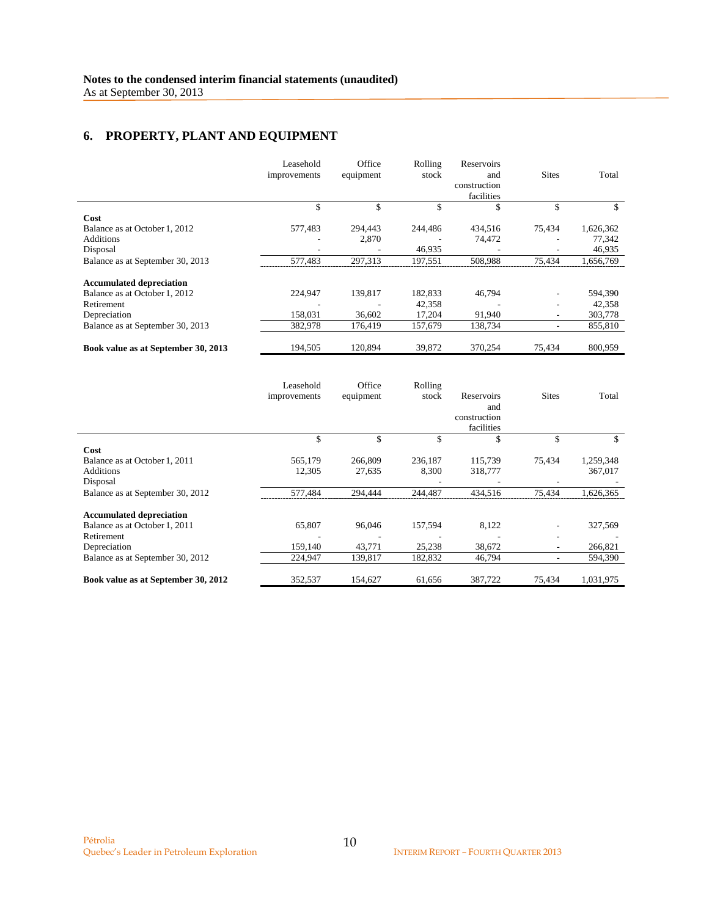## **6. PROPERTY, PLANT AND EQUIPMENT**

|                                     | Leasehold<br>improvements | Office<br>equipment | Rolling<br>stock | Reservoirs<br>and<br>construction<br>facilities | <b>Sites</b>             | Total     |
|-------------------------------------|---------------------------|---------------------|------------------|-------------------------------------------------|--------------------------|-----------|
|                                     | \$                        | \$                  | \$               | \$                                              | \$                       | \$        |
| Cost                                |                           |                     |                  |                                                 |                          |           |
| Balance as at October 1, 2012       | 577,483                   | 294,443             | 244,486          | 434,516                                         | 75,434                   | 1,626,362 |
| Additions                           |                           | 2,870               |                  | 74,472                                          |                          | 77,342    |
| Disposal                            |                           |                     | 46,935           |                                                 |                          | 46,935    |
| Balance as at September 30, 2013    | 577.483                   | 297.313             | 197.551          | 508,988                                         | 75.434                   | 1,656,769 |
| <b>Accumulated depreciation</b>     |                           |                     |                  |                                                 |                          |           |
| Balance as at October 1, 2012       | 224,947                   | 139,817             | 182,833          | 46,794                                          | $\overline{\phantom{a}}$ | 594,390   |
| Retirement                          |                           |                     | 42,358           |                                                 | ٠                        | 42,358    |
| Depreciation                        | 158,031                   | 36,602              | 17,204           | 91,940                                          | $\overline{\phantom{a}}$ | 303,778   |
| Balance as at September 30, 2013    | 382,978                   | 176,419             | 157,679          | 138,734                                         | $\overline{\phantom{a}}$ | 855,810   |
| Book value as at September 30, 2013 | 194,505                   | 120,894             | 39,872           | 370,254                                         | 75,434                   | 800,959   |

|                                     | Leasehold<br>improvements | Office<br>equipment | Rolling<br>stock | Reservoirs<br>and<br>construction<br>facilities | <b>Sites</b> | Total     |
|-------------------------------------|---------------------------|---------------------|------------------|-------------------------------------------------|--------------|-----------|
|                                     |                           | \$                  | \$               | \$                                              | \$           |           |
| Cost                                |                           |                     |                  |                                                 |              |           |
| Balance as at October 1, 2011       | 565,179                   | 266,809             | 236,187          | 115,739                                         | 75,434       | 1,259,348 |
| <b>Additions</b>                    | 12,305                    | 27,635              | 8,300            | 318,777                                         |              | 367,017   |
| Disposal                            |                           |                     |                  |                                                 |              |           |
| Balance as at September 30, 2012    | 577,484                   | 294.444             | 244,487          | 434.516                                         | 75.434       | 1,626,365 |
| <b>Accumulated depreciation</b>     |                           |                     |                  |                                                 |              |           |
| Balance as at October 1, 2011       | 65,807                    | 96,046              | 157,594          | 8,122                                           |              | 327,569   |
| Retirement                          |                           |                     |                  |                                                 | ٠            |           |
| Depreciation                        | 159,140                   | 43,771              | 25,238           | 38,672                                          | ٠            | 266,821   |
| Balance as at September 30, 2012    | 224,947                   | 139,817             | 182,832          | 46,794                                          | ٠            | 594,390   |
| Book value as at September 30, 2012 | 352,537                   | 154,627             | 61,656           | 387,722                                         | 75,434       | 1,031,975 |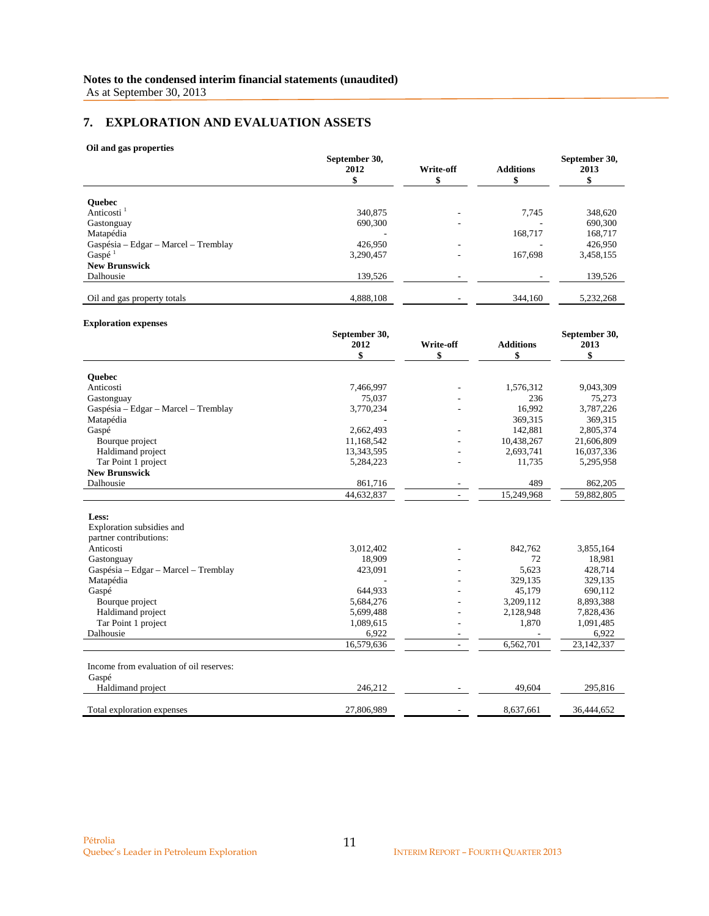## **7. EXPLORATION AND EVALUATION ASSETS**

#### **Oil and gas properties**

|                                      | September 30,<br>2012 | <b>Write-off</b> | <b>Additions</b> | September 30,<br>2013 |
|--------------------------------------|-----------------------|------------------|------------------|-----------------------|
|                                      |                       |                  |                  |                       |
| <b>Ouebec</b>                        |                       |                  |                  |                       |
| Anticosti <sup>1</sup>               | 340,875               |                  | 7,745            | 348,620               |
| Gastonguay                           | 690,300               | -                |                  | 690,300               |
| Matapédia                            |                       |                  | 168,717          | 168,717               |
| Gaspésia – Edgar – Marcel – Tremblay | 426,950               |                  |                  | 426,950               |
| Gaspé $1$                            | 3.290.457             |                  | 167,698          | 3,458,155             |
| <b>New Brunswick</b>                 |                       |                  |                  |                       |
| Dalhousie                            | 139,526               |                  |                  | 139,526               |
|                                      |                       |                  |                  |                       |
| Oil and gas property totals          | 4,888,108             |                  | 344,160          | 5,232,268             |
|                                      |                       |                  |                  |                       |

#### **Exploration expenses**

|                                         | September 30, |                          |                  | September 30, |
|-----------------------------------------|---------------|--------------------------|------------------|---------------|
|                                         | 2012          | Write-off                | <b>Additions</b> | 2013          |
|                                         | \$            | \$                       | \$               | \$            |
| <b>Ouebec</b>                           |               |                          |                  |               |
| Anticosti                               | 7,466,997     |                          | 1,576,312        | 9,043,309     |
| Gastonguay                              | 75,037        |                          | 236              | 75,273        |
| Gaspésia – Edgar – Marcel – Tremblay    | 3,770,234     |                          | 16,992           | 3,787,226     |
| Matapédia                               |               |                          | 369,315          | 369,315       |
| Gaspé                                   | 2,662,493     |                          | 142,881          | 2,805,374     |
| Bourque project                         | 11,168,542    |                          | 10,438,267       | 21,606,809    |
| Haldimand project                       | 13,343,595    |                          | 2,693,741        | 16,037,336    |
| Tar Point 1 project                     | 5,284,223     |                          | 11,735           | 5,295,958     |
| <b>New Brunswick</b>                    |               |                          |                  |               |
| Dalhousie                               | 861,716       |                          | 489              | 862,205       |
|                                         | 44,632,837    |                          | 15,249,968       | 59,882,805    |
|                                         |               |                          |                  |               |
| Less:                                   |               |                          |                  |               |
| Exploration subsidies and               |               |                          |                  |               |
| partner contributions:                  |               |                          |                  |               |
| Anticosti                               | 3,012,402     |                          | 842,762          | 3,855,164     |
| Gastonguay                              | 18,909        |                          | 72               | 18,981        |
| Gaspésia – Edgar – Marcel – Tremblay    | 423,091       |                          | 5,623            | 428,714       |
| Matapédia                               |               |                          | 329,135          | 329,135       |
| Gaspé                                   | 644.933       |                          | 45,179           | 690,112       |
| Bourque project                         | 5,684,276     |                          | 3,209,112        | 8,893,388     |
| Haldimand project                       | 5,699,488     |                          | 2,128,948        | 7,828,436     |
| Tar Point 1 project                     | 1,089,615     |                          | 1,870            | 1,091,485     |
| Dalhousie                               | 6,922         |                          |                  | 6,922         |
|                                         | 16,579,636    | $\overline{\phantom{a}}$ | 6,562,701        | 23,142,337    |
|                                         |               |                          |                  |               |
| Income from evaluation of oil reserves: |               |                          |                  |               |
| Gaspé                                   |               |                          |                  |               |
| Haldimand project                       | 246,212       |                          | 49,604           | 295,816       |
| Total exploration expenses              | 27,806,989    |                          | 8,637,661        | 36,444,652    |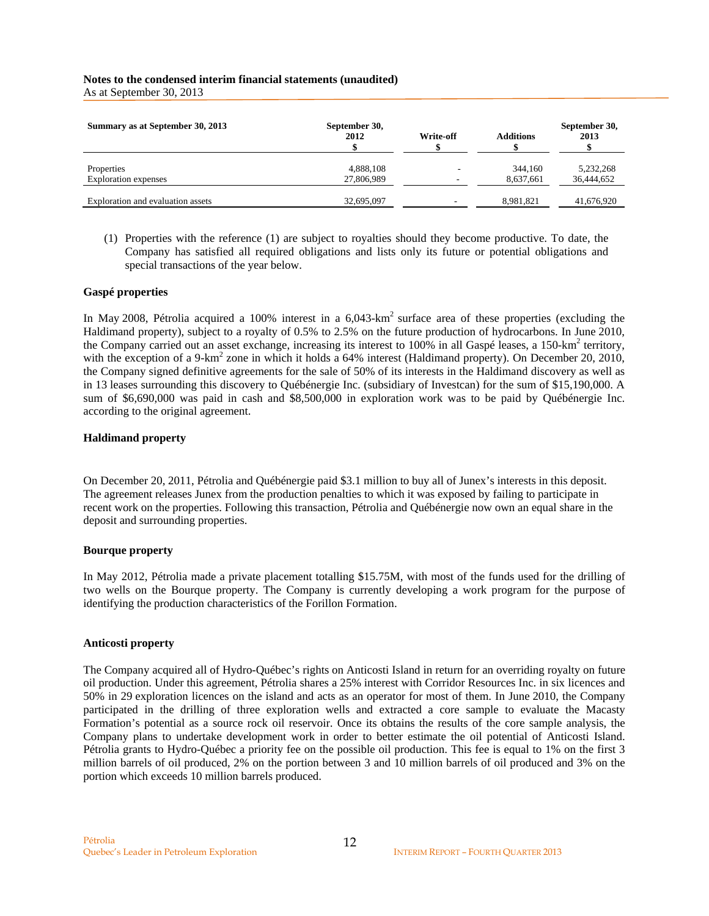## **Notes to the condensed interim financial statements (unaudited)**

As at September 30, 2013

| Summary as at September 30, 2013  | September 30,<br>2012 | Write-off | <b>Additions</b> | September 30,<br>2013 |
|-----------------------------------|-----------------------|-----------|------------------|-----------------------|
| Properties                        | 4,888,108             | ۰         | 344,160          | 5,232,268             |
| <b>Exploration</b> expenses       | 27,806,989            |           | 8,637,661        | 36,444,652            |
| Exploration and evaluation assets | 32,695,097            | -         | 8,981,821        | 41,676,920            |

(1) Properties with the reference (1) are subject to royalties should they become productive. To date, the Company has satisfied all required obligations and lists only its future or potential obligations and special transactions of the year below.

#### **Gaspé properties**

In May 2008, Pétrolia acquired a 100% interest in a 6,043-km<sup>2</sup> surface area of these properties (excluding the Haldimand property), subject to a royalty of 0.5% to 2.5% on the future production of hydrocarbons. In June 2010, the Company carried out an asset exchange, increasing its interest to 100% in all Gaspé leases, a 150-km<sup>2</sup> territory, with the exception of a 9-km<sup>2</sup> zone in which it holds a 64% interest (Haldimand property). On December 20, 2010, the Company signed definitive agreements for the sale of 50% of its interests in the Haldimand discovery as well as in 13 leases surrounding this discovery to Québénergie Inc. (subsidiary of Investcan) for the sum of \$15,190,000. A sum of \$6,690,000 was paid in cash and \$8,500,000 in exploration work was to be paid by Québénergie Inc. according to the original agreement.

#### **Haldimand property**

On December 20, 2011, Pétrolia and Québénergie paid \$3.1 million to buy all of Junex's interests in this deposit. The agreement releases Junex from the production penalties to which it was exposed by failing to participate in recent work on the properties. Following this transaction, Pétrolia and Québénergie now own an equal share in the deposit and surrounding properties.

#### **Bourque property**

In May 2012, Pétrolia made a private placement totalling \$15.75M, with most of the funds used for the drilling of two wells on the Bourque property. The Company is currently developing a work program for the purpose of identifying the production characteristics of the Forillon Formation.

#### **Anticosti property**

The Company acquired all of Hydro-Québec's rights on Anticosti Island in return for an overriding royalty on future oil production. Under this agreement, Pétrolia shares a 25% interest with Corridor Resources Inc. in six licences and 50% in 29 exploration licences on the island and acts as an operator for most of them. In June 2010, the Company participated in the drilling of three exploration wells and extracted a core sample to evaluate the Macasty Formation's potential as a source rock oil reservoir. Once its obtains the results of the core sample analysis, the Company plans to undertake development work in order to better estimate the oil potential of Anticosti Island. Pétrolia grants to Hydro-Québec a priority fee on the possible oil production. This fee is equal to 1% on the first 3 million barrels of oil produced, 2% on the portion between 3 and 10 million barrels of oil produced and 3% on the portion which exceeds 10 million barrels produced.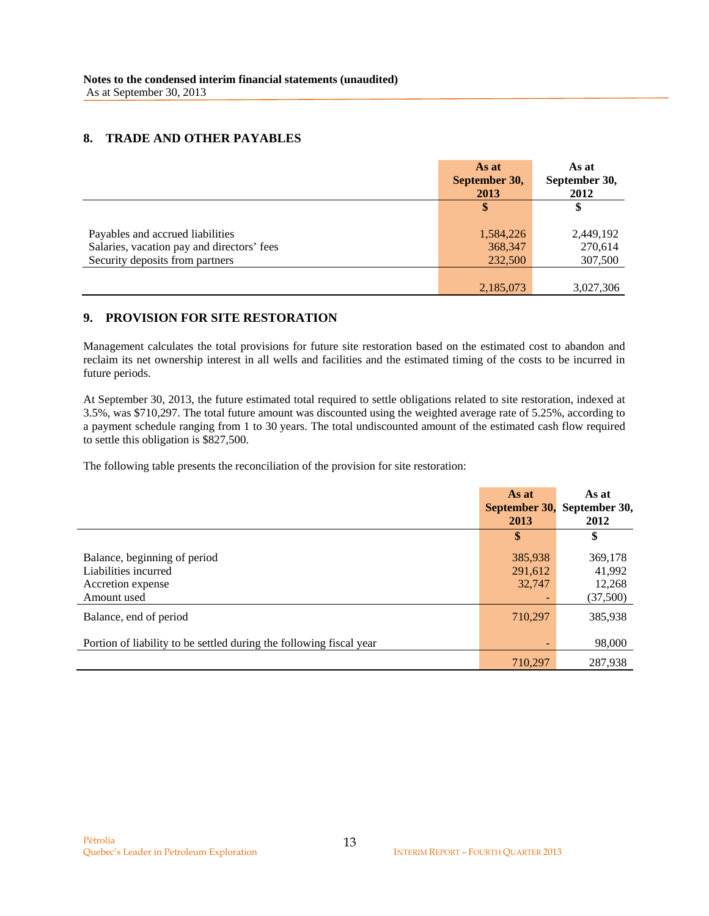### **8. TRADE AND OTHER PAYABLES**

|                                            | As at<br>September 30,<br>2013 | As at<br>September 30,<br>2012 |
|--------------------------------------------|--------------------------------|--------------------------------|
|                                            | \$                             | \$                             |
| Payables and accrued liabilities           | 1,584,226                      | 2,449,192                      |
| Salaries, vacation pay and directors' fees | 368,347                        | 270,614                        |
| Security deposits from partners            | 232,500                        | 307,500                        |
|                                            |                                |                                |
|                                            | 2,185,073                      | 3,027,306                      |

## **9. PROVISION FOR SITE RESTORATION**

Management calculates the total provisions for future site restoration based on the estimated cost to abandon and reclaim its net ownership interest in all wells and facilities and the estimated timing of the costs to be incurred in future periods.

At September 30, 2013, the future estimated total required to settle obligations related to site restoration, indexed at 3.5%, was \$710,297. The total future amount was discounted using the weighted average rate of 5.25%, according to a payment schedule ranging from 1 to 30 years. The total undiscounted amount of the estimated cash flow required to settle this obligation is \$827,500.

The following table presents the reconciliation of the provision for site restoration:

|                                                                                               | As at<br>September 30,<br>2013 | As at<br>September 30,<br>2012          |
|-----------------------------------------------------------------------------------------------|--------------------------------|-----------------------------------------|
|                                                                                               | \$                             | \$                                      |
| Balance, beginning of period<br>Liabilities incurred<br>Accretion expense<br>Amount used      | 385,938<br>291,612<br>32,747   | 369,178<br>41,992<br>12,268<br>(37,500) |
| Balance, end of period<br>Portion of liability to be settled during the following fiscal year | 710,297                        | 385,938<br>98,000                       |
|                                                                                               | 710,297                        | 287,938                                 |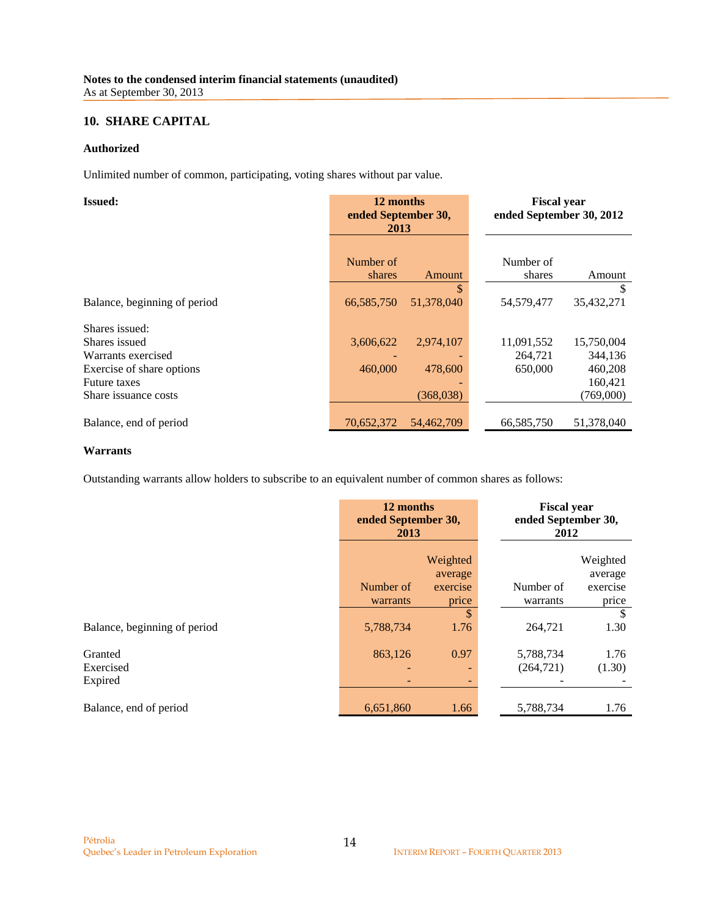## **10. SHARE CAPITAL**

#### **Authorized**

Unlimited number of common, participating, voting shares without par value.

| <b>Issued:</b>               | 12 months<br>ended September 30,<br>2013 |            |                     | <b>Fiscal year</b><br>ended September 30, 2012 |  |
|------------------------------|------------------------------------------|------------|---------------------|------------------------------------------------|--|
|                              |                                          |            |                     |                                                |  |
|                              | Number of<br>shares                      | Amount     | Number of<br>shares | Amount                                         |  |
|                              |                                          | \$.        |                     | \$                                             |  |
| Balance, beginning of period | 66,585,750                               | 51,378,040 | 54,579,477          | 35,432,271                                     |  |
| Shares issued:               |                                          |            |                     |                                                |  |
| Shares issued                | 3,606,622                                | 2,974,107  | 11,091,552          | 15,750,004                                     |  |
| Warrants exercised           |                                          |            | 264,721             | 344,136                                        |  |
| Exercise of share options    | 460,000                                  | 478,600    | 650,000             | 460,208                                        |  |
| <b>Future taxes</b>          |                                          |            |                     | 160,421                                        |  |
| Share issuance costs         |                                          | (368,038)  |                     | (769,000)                                      |  |
| Balance, end of period       | 70,652,372                               | 54,462,709 | 66,585,750          | 51,378,040                                     |  |

### **Warrants**

Outstanding warrants allow holders to subscribe to an equivalent number of common shares as follows:

|                              | 12 months<br>ended September 30,<br>2013 |              | <b>Fiscal year</b><br>ended September 30,<br>2012 |                     |
|------------------------------|------------------------------------------|--------------|---------------------------------------------------|---------------------|
|                              | Weighted<br>average                      |              |                                                   | Weighted<br>average |
|                              | Number of                                | exercise     | Number of                                         | exercise            |
|                              | warrants                                 | price        | warrants                                          | price               |
|                              |                                          | $\mathbb{S}$ |                                                   | <sup>\$</sup>       |
| Balance, beginning of period | 5,788,734                                | 1.76         | 264,721                                           | 1.30                |
| Granted                      | 863,126                                  | 0.97         | 5,788,734                                         | 1.76                |
| Exercised                    | $\overline{\phantom{a}}$                 | ۰            | (264, 721)                                        | (1.30)              |
| Expired                      |                                          | ٠            |                                                   |                     |
| Balance, end of period       | 6,651,860                                | 1.66         | 5,788,734                                         | 1.76                |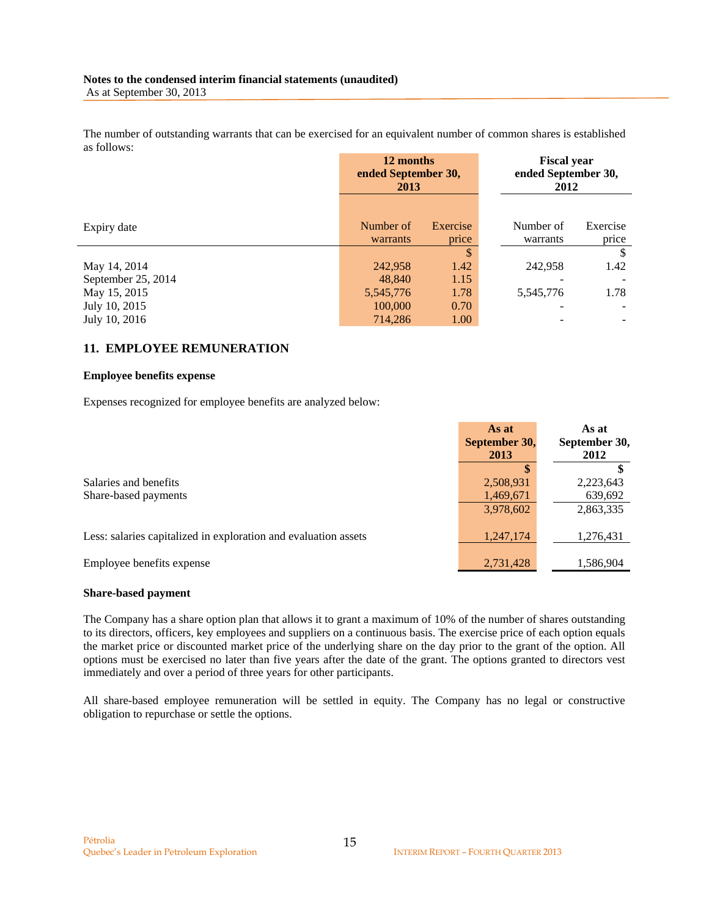The number of outstanding warrants that can be exercised for an equivalent number of common shares is established as follows:

|                    | 12 months<br>ended September 30,<br>2013 |                   | <b>Fiscal year</b><br>ended September 30,<br>2012 |                   |
|--------------------|------------------------------------------|-------------------|---------------------------------------------------|-------------------|
| Expiry date        | Number of<br>warrants                    | Exercise<br>price | Number of<br>warrants                             | Exercise<br>price |
|                    |                                          | \$                |                                                   | \$                |
| May 14, 2014       | 242,958                                  | 1.42              | 242,958                                           | 1.42              |
| September 25, 2014 | 48,840                                   | 1.15              |                                                   |                   |
| May 15, 2015       | 5,545,776                                | 1.78              | 5,545,776                                         | 1.78              |
| July 10, 2015      | 100,000                                  | 0.70              |                                                   |                   |
| July 10, 2016      | 714,286                                  | 1.00              |                                                   |                   |

### **11. EMPLOYEE REMUNERATION**

#### **Employee benefits expense**

Expenses recognized for employee benefits are analyzed below:

|                                                                 | As at         | As at         |
|-----------------------------------------------------------------|---------------|---------------|
|                                                                 | September 30, | September 30, |
|                                                                 | 2013          | 2012          |
|                                                                 |               |               |
| Salaries and benefits                                           | 2,508,931     | 2,223,643     |
| Share-based payments                                            | 1,469,671     | 639,692       |
|                                                                 | 3,978,602     | 2,863,335     |
|                                                                 |               |               |
| Less: salaries capitalized in exploration and evaluation assets | 1,247,174     | 1,276,431     |
|                                                                 |               |               |
| Employee benefits expense                                       | 2,731,428     | 1,586,904     |

#### **Share-based payment**

The Company has a share option plan that allows it to grant a maximum of 10% of the number of shares outstanding to its directors, officers, key employees and suppliers on a continuous basis. The exercise price of each option equals the market price or discounted market price of the underlying share on the day prior to the grant of the option. All options must be exercised no later than five years after the date of the grant. The options granted to directors vest immediately and over a period of three years for other participants.

All share-based employee remuneration will be settled in equity. The Company has no legal or constructive obligation to repurchase or settle the options.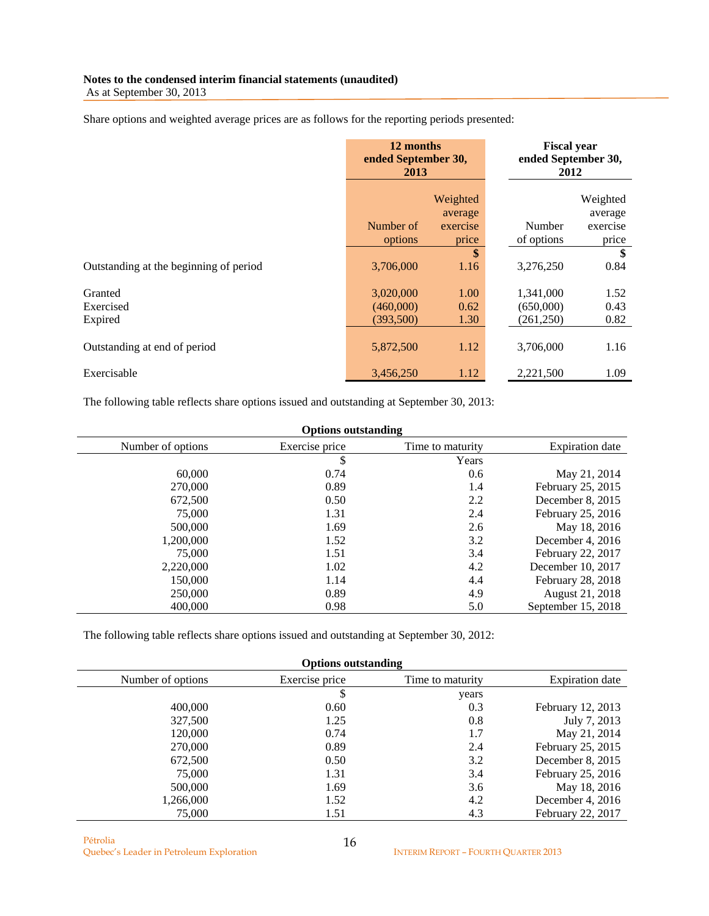## **Notes to the condensed interim financial statements (unaudited)**

As at September 30, 2013

Share options and weighted average prices are as follows for the reporting periods presented:

|                                        | 12 months<br>ended September 30,<br>2013 |                   | <b>Fiscal year</b><br>ended September 30,<br>2012 |                     |
|----------------------------------------|------------------------------------------|-------------------|---------------------------------------------------|---------------------|
|                                        | Weighted<br>average                      |                   |                                                   | Weighted<br>average |
|                                        | Number of<br>options                     | exercise<br>price | Number<br>of options                              | exercise<br>price   |
|                                        |                                          | \$                |                                                   | \$                  |
| Outstanding at the beginning of period | 3,706,000                                | 1.16              | 3,276,250                                         | 0.84                |
| Granted                                | 3,020,000                                | 1.00              | 1,341,000                                         | 1.52                |
| Exercised                              | (460,000)                                | 0.62              | (650,000)                                         | 0.43                |
| Expired                                | (393,500)                                | 1.30              | (261, 250)                                        | 0.82                |
| Outstanding at end of period           | 5,872,500                                | 1.12              | 3,706,000                                         | 1.16                |
| Exercisable                            | 3,456,250                                | 1.12              | 2,221,500                                         | 1.09                |

The following table reflects share options issued and outstanding at September 30, 2013:

| <b>Options outstanding</b> |                |                  |                    |  |  |
|----------------------------|----------------|------------------|--------------------|--|--|
| Number of options          | Exercise price | Time to maturity | Expiration date    |  |  |
|                            | \$             | Years            |                    |  |  |
| 60,000                     | 0.74           | 0.6              | May 21, 2014       |  |  |
| 270,000                    | 0.89           | 1.4              | February 25, 2015  |  |  |
| 672,500                    | 0.50           | 2.2              | December 8, 2015   |  |  |
| 75,000                     | 1.31           | 2.4              | February 25, 2016  |  |  |
| 500,000                    | 1.69           | 2.6              | May 18, 2016       |  |  |
| 1,200,000                  | 1.52           | 3.2              | December 4, $2016$ |  |  |
| 75,000                     | 1.51           | 3.4              | February 22, 2017  |  |  |
| 2,220,000                  | 1.02           | 4.2              | December 10, 2017  |  |  |
| 150,000                    | 1.14           | 4.4              | February 28, 2018  |  |  |
| 250,000                    | 0.89           | 4.9              | August 21, 2018    |  |  |
| 400,000                    | 0.98           | 5.0              | September 15, 2018 |  |  |

The following table reflects share options issued and outstanding at September 30, 2012:

**Options outstanding**

|                   |                | $\overline{\phantom{a}}$ |                    |
|-------------------|----------------|--------------------------|--------------------|
| Number of options | Exercise price | Time to maturity         | Expiration date    |
|                   | \$             | years                    |                    |
| 400,000           | 0.60           | 0.3                      | February 12, 2013  |
| 327,500           | 1.25           | 0.8                      | July 7, 2013       |
| 120,000           | 0.74           | 1.7                      | May 21, 2014       |
| 270,000           | 0.89           | 2.4                      | February 25, 2015  |
| 672,500           | 0.50           | 3.2                      | December 8, 2015   |
| 75,000            | 1.31           | 3.4                      | February 25, 2016  |
| 500,000           | 1.69           | 3.6                      | May 18, 2016       |
| 1,266,000         | 1.52           | 4.2                      | December 4, $2016$ |
| 75,000            | 1.51           | 4.3                      | February 22, 2017  |

Pétrolia Quebec's Leader in Petroleum Exploration INTERIM REPORT – FOURTH QUARTER 2013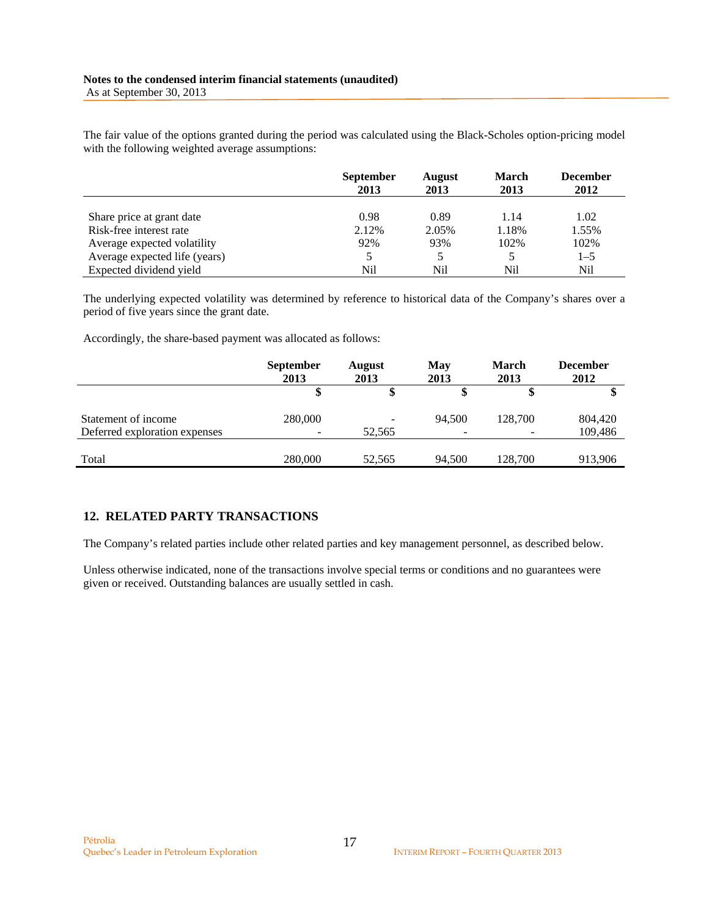The fair value of the options granted during the period was calculated using the Black-Scholes option-pricing model with the following weighted average assumptions:

|                               | <b>September</b><br>2013 | <b>August</b><br>2013 | <b>March</b><br>2013 | <b>December</b><br>2012 |
|-------------------------------|--------------------------|-----------------------|----------------------|-------------------------|
| Share price at grant date     | 0.98                     | 0.89                  | 1.14                 | 1.02                    |
| Risk-free interest rate       | 2.12%                    | 2.05%                 | 1.18%                | 1.55%                   |
| Average expected volatility   | 92%                      | 93%                   | 102%                 | 102%                    |
| Average expected life (years) |                          |                       |                      | $1 - 5$                 |
| Expected dividend yield       | Nil                      | Nil                   | Nil                  | Nil                     |

The underlying expected volatility was determined by reference to historical data of the Company's shares over a period of five years since the grant date.

Accordingly, the share-based payment was allocated as follows:

|                               | <b>September</b><br>2013 | <b>August</b><br>2013 | May<br>2013 | <b>March</b><br>2013 | <b>December</b><br>2012 |
|-------------------------------|--------------------------|-----------------------|-------------|----------------------|-------------------------|
|                               |                          | \$                    |             | \$                   |                         |
| Statement of income           | 280,000                  |                       | 94.500      | 128,700              | 804,420                 |
| Deferred exploration expenses |                          | 52,565                |             |                      | 109,486                 |
|                               |                          |                       |             |                      |                         |
| Total                         | 280,000                  | 52,565                | 94.500      | 128,700              | 913,906                 |

## **12. RELATED PARTY TRANSACTIONS**

The Company's related parties include other related parties and key management personnel, as described below.

Unless otherwise indicated, none of the transactions involve special terms or conditions and no guarantees were given or received. Outstanding balances are usually settled in cash.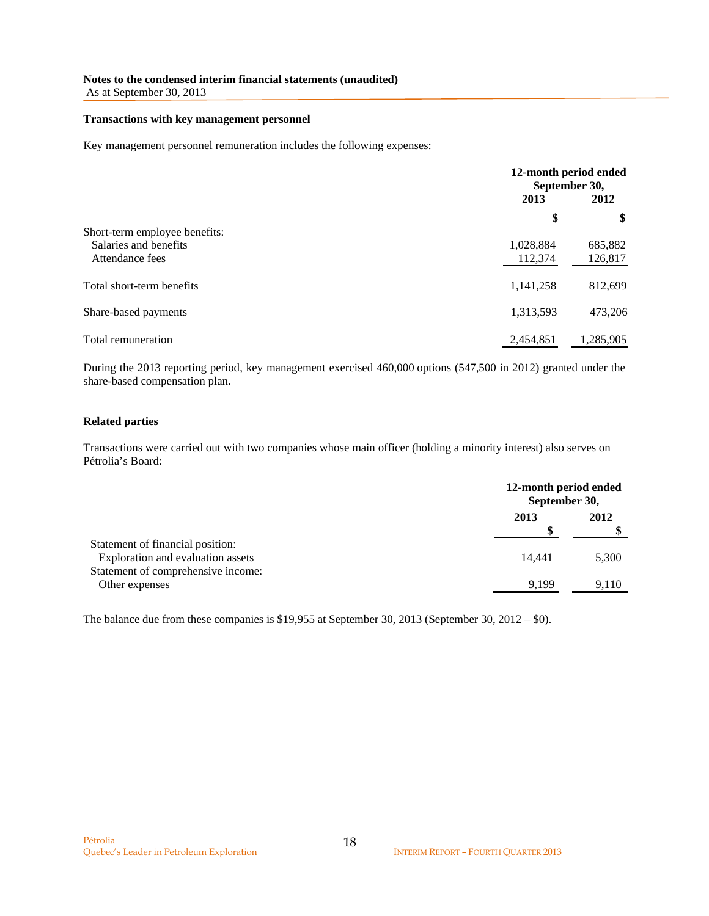#### **Notes to the condensed interim financial statements (unaudited)**

As at September 30, 2013

#### **Transactions with key management personnel**

Key management personnel remuneration includes the following expenses:

|                               |           | 12-month period ended<br>September 30, |  |
|-------------------------------|-----------|----------------------------------------|--|
|                               | 2013      | 2012                                   |  |
|                               | \$        | \$                                     |  |
| Short-term employee benefits: |           |                                        |  |
| Salaries and benefits         | 1,028,884 | 685,882                                |  |
| Attendance fees               | 112,374   | 126,817                                |  |
| Total short-term benefits     | 1,141,258 | 812,699                                |  |
| Share-based payments          | 1,313,593 | 473,206                                |  |
| Total remuneration            | 2,454,851 | 1,285,905                              |  |

During the 2013 reporting period, key management exercised 460,000 options (547,500 in 2012) granted under the share-based compensation plan.

#### **Related parties**

Transactions were carried out with two companies whose main officer (holding a minority interest) also serves on Pétrolia's Board:

|                                                                       |        | 12-month period ended<br>September 30, |  |  |
|-----------------------------------------------------------------------|--------|----------------------------------------|--|--|
|                                                                       | 2013   | 2012                                   |  |  |
| Statement of financial position:<br>Exploration and evaluation assets | 14.441 | 5,300                                  |  |  |
| Statement of comprehensive income:<br>Other expenses                  | 9.199  | 9.110                                  |  |  |

The balance due from these companies is \$19,955 at September 30, 2013 (September 30, 2012 – \$0).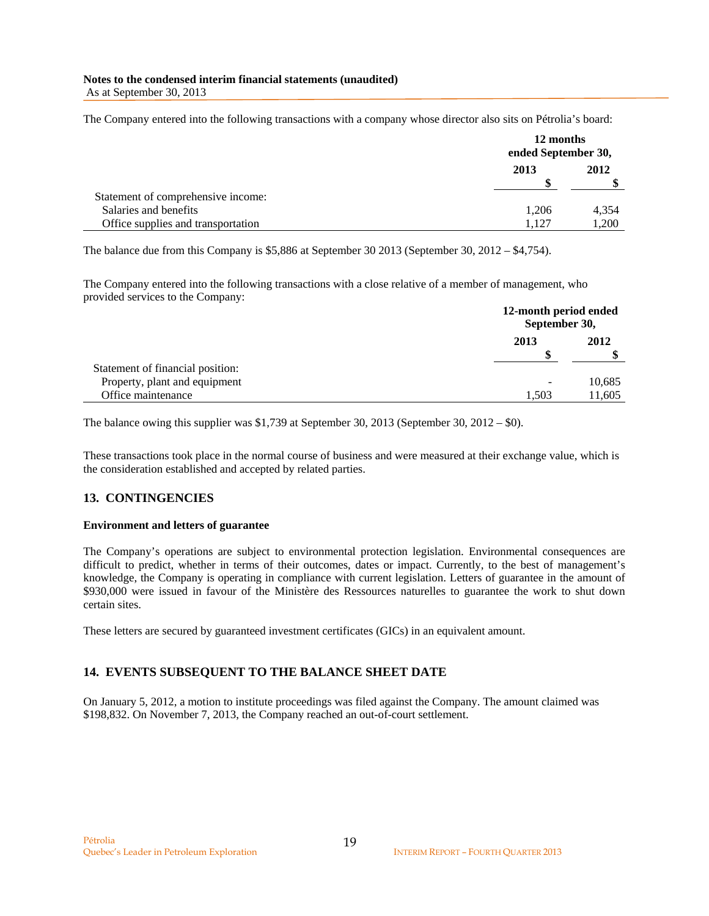#### **Notes to the condensed interim financial statements (unaudited)**  As at September 30, 2013

The Company entered into the following transactions with a company whose director also sits on Pétrolia's board:

|                                    |       | 12 months<br>ended September 30, |  |
|------------------------------------|-------|----------------------------------|--|
|                                    | 2013  | 2012                             |  |
| Statement of comprehensive income: |       |                                  |  |
| Salaries and benefits              | 1,206 | 4,354                            |  |
| Office supplies and transportation | 1.127 | 1,200                            |  |

The balance due from this Company is \$5,886 at September 30 2013 (September 30, 2012 – \$4,754).

The Company entered into the following transactions with a close relative of a member of management, who provided services to the Company:

|                                  |           | 12-month period ended<br>September 30, |  |
|----------------------------------|-----------|----------------------------------------|--|
|                                  | 2013<br>S | 2012                                   |  |
| Statement of financial position: |           |                                        |  |
| Property, plant and equipment    |           | 10,685                                 |  |
| Office maintenance               | 1.503     | 11,605                                 |  |

The balance owing this supplier was \$1,739 at September 30, 2013 (September 30, 2012 – \$0).

These transactions took place in the normal course of business and were measured at their exchange value, which is the consideration established and accepted by related parties.

#### **13. CONTINGENCIES**

#### **Environment and letters of guarantee**

The Company's operations are subject to environmental protection legislation. Environmental consequences are difficult to predict, whether in terms of their outcomes, dates or impact. Currently, to the best of management's knowledge, the Company is operating in compliance with current legislation. Letters of guarantee in the amount of \$930,000 were issued in favour of the Ministère des Ressources naturelles to guarantee the work to shut down certain sites.

These letters are secured by guaranteed investment certificates (GICs) in an equivalent amount.

#### **14. EVENTS SUBSEQUENT TO THE BALANCE SHEET DATE**

On January 5, 2012, a motion to institute proceedings was filed against the Company. The amount claimed was \$198,832. On November 7, 2013, the Company reached an out-of-court settlement.